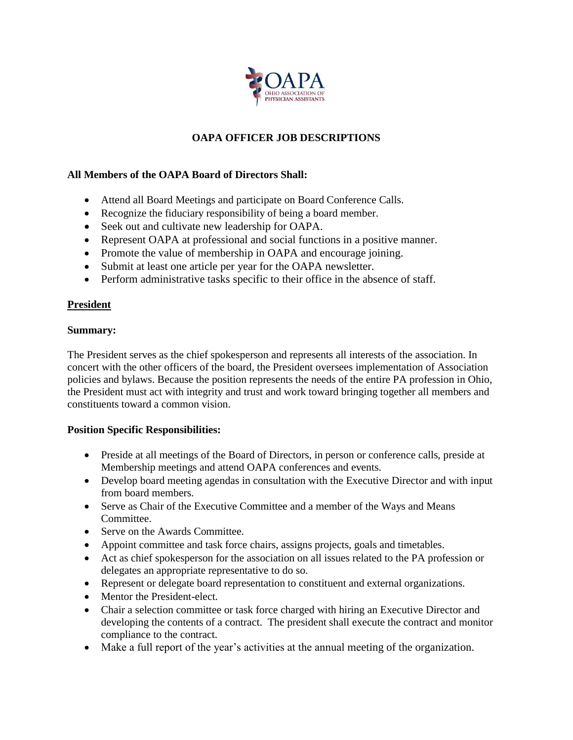

# **OAPA OFFICER JOB DESCRIPTIONS**

## **All Members of the OAPA Board of Directors Shall:**

- Attend all Board Meetings and participate on Board Conference Calls.
- Recognize the fiduciary responsibility of being a board member.
- Seek out and cultivate new leadership for OAPA.
- Represent OAPA at professional and social functions in a positive manner.
- Promote the value of membership in OAPA and encourage joining.
- Submit at least one article per year for the OAPA newsletter.
- Perform administrative tasks specific to their office in the absence of staff.

## **President**

## **Summary:**

The President serves as the chief spokesperson and represents all interests of the association. In concert with the other officers of the board, the President oversees implementation of Association policies and bylaws. Because the position represents the needs of the entire PA profession in Ohio, the President must act with integrity and trust and work toward bringing together all members and constituents toward a common vision.

## **Position Specific Responsibilities:**

- Preside at all meetings of the Board of Directors, in person or conference calls, preside at Membership meetings and attend OAPA conferences and events.
- Develop board meeting agendas in consultation with the Executive Director and with input from board members.
- Serve as Chair of the Executive Committee and a member of the Ways and Means Committee.
- Serve on the Awards Committee.
- Appoint committee and task force chairs, assigns projects, goals and timetables.
- Act as chief spokesperson for the association on all issues related to the PA profession or delegates an appropriate representative to do so.
- Represent or delegate board representation to constituent and external organizations.
- Mentor the President-elect.
- Chair a selection committee or task force charged with hiring an Executive Director and developing the contents of a contract. The president shall execute the contract and monitor compliance to the contract.
- Make a full report of the year's activities at the annual meeting of the organization.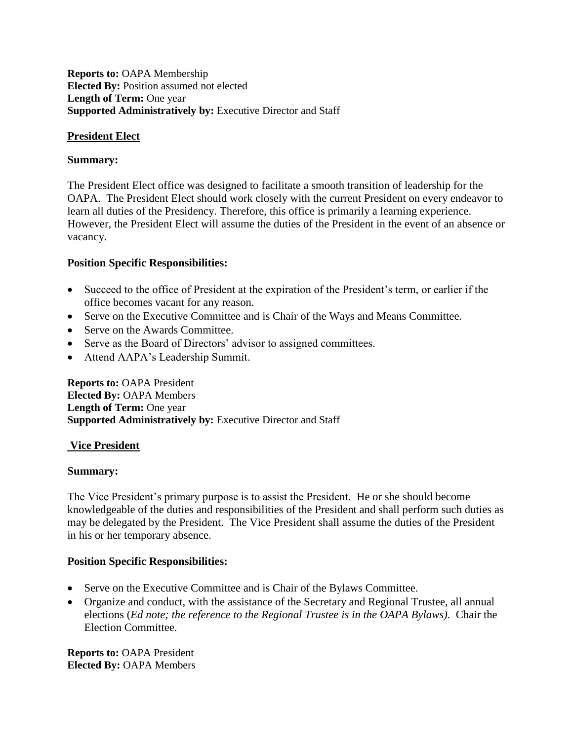## **Reports to:** OAPA Membership **Elected By:** Position assumed not elected Length of Term: One year **Supported Administratively by: Executive Director and Staff**

## **President Elect**

## **Summary:**

The President Elect office was designed to facilitate a smooth transition of leadership for the OAPA. The President Elect should work closely with the current President on every endeavor to learn all duties of the Presidency. Therefore, this office is primarily a learning experience. However, the President Elect will assume the duties of the President in the event of an absence or vacancy.

## **Position Specific Responsibilities:**

- Succeed to the office of President at the expiration of the President's term, or earlier if the office becomes vacant for any reason.
- Serve on the Executive Committee and is Chair of the Ways and Means Committee.
- Serve on the Awards Committee.
- Serve as the Board of Directors' advisor to assigned committees.
- Attend AAPA's Leadership Summit.

**Reports to:** OAPA President **Elected By:** OAPA Members Length of Term: One year **Supported Administratively by: Executive Director and Staff** 

## **Vice President**

## **Summary:**

The Vice President's primary purpose is to assist the President. He or she should become knowledgeable of the duties and responsibilities of the President and shall perform such duties as may be delegated by the President. The Vice President shall assume the duties of the President in his or her temporary absence.

## **Position Specific Responsibilities:**

- Serve on the Executive Committee and is Chair of the Bylaws Committee.
- Organize and conduct, with the assistance of the Secretary and Regional Trustee, all annual elections (*Ed note; the reference to the Regional Trustee is in the OAPA Bylaws)*. Chair the Election Committee.

**Reports to:** OAPA President **Elected By:** OAPA Members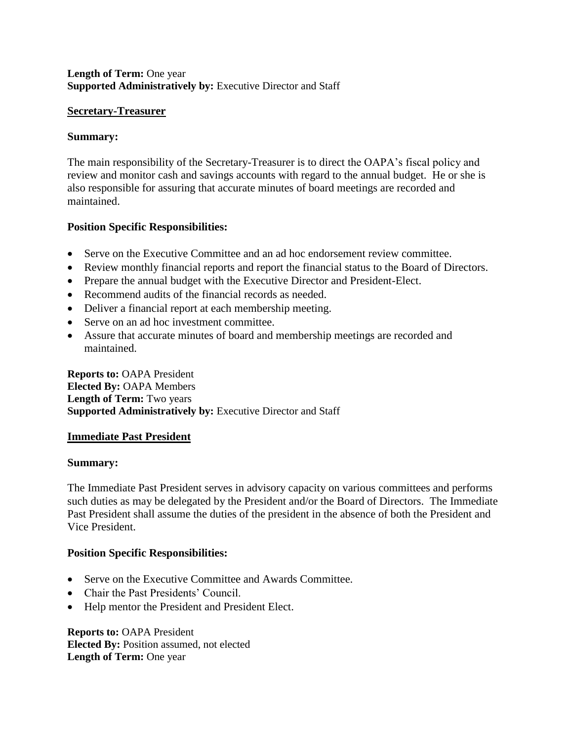## **Length of Term:** One year **Supported Administratively by: Executive Director and Staff**

## **Secretary-Treasurer**

## **Summary:**

The main responsibility of the Secretary-Treasurer is to direct the OAPA's fiscal policy and review and monitor cash and savings accounts with regard to the annual budget. He or she is also responsible for assuring that accurate minutes of board meetings are recorded and maintained.

## **Position Specific Responsibilities:**

- Serve on the Executive Committee and an ad hoc endorsement review committee.
- Review monthly financial reports and report the financial status to the Board of Directors.
- Prepare the annual budget with the Executive Director and President-Elect.
- Recommend audits of the financial records as needed.
- Deliver a financial report at each membership meeting.
- Serve on an ad hoc investment committee.
- Assure that accurate minutes of board and membership meetings are recorded and maintained.

**Reports to:** OAPA President **Elected By:** OAPA Members **Length of Term:** Two years **Supported Administratively by: Executive Director and Staff** 

## **Immediate Past President**

## **Summary:**

The Immediate Past President serves in advisory capacity on various committees and performs such duties as may be delegated by the President and/or the Board of Directors. The Immediate Past President shall assume the duties of the president in the absence of both the President and Vice President.

## **Position Specific Responsibilities:**

- Serve on the Executive Committee and Awards Committee.
- Chair the Past Presidents' Council.
- Help mentor the President and President Elect.

**Reports to:** OAPA President **Elected By:** Position assumed, not elected **Length of Term:** One year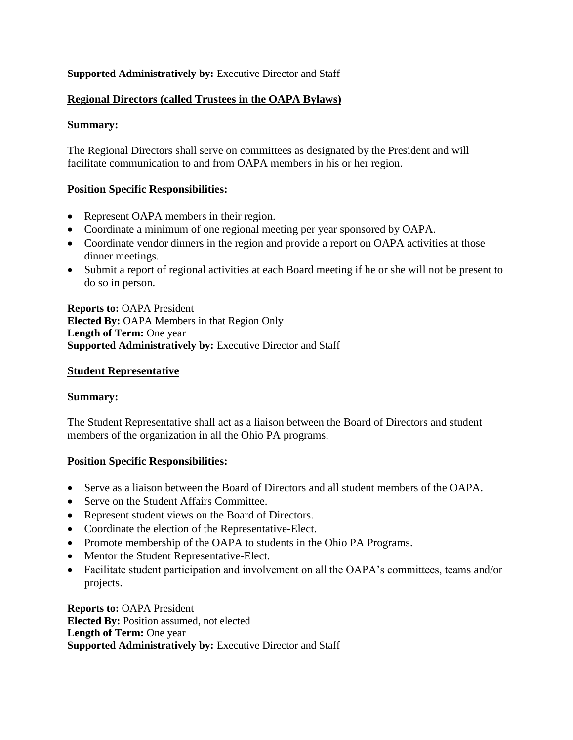## **Supported Administratively by: Executive Director and Staff**

## **Regional Directors (called Trustees in the OAPA Bylaws)**

## **Summary:**

The Regional Directors shall serve on committees as designated by the President and will facilitate communication to and from OAPA members in his or her region.

## **Position Specific Responsibilities:**

- Represent OAPA members in their region.
- Coordinate a minimum of one regional meeting per year sponsored by OAPA.
- Coordinate vendor dinners in the region and provide a report on OAPA activities at those dinner meetings.
- Submit a report of regional activities at each Board meeting if he or she will not be present to do so in person.

**Reports to:** OAPA President **Elected By:** OAPA Members in that Region Only **Length of Term:** One year **Supported Administratively by: Executive Director and Staff** 

#### **Student Representative**

#### **Summary:**

The Student Representative shall act as a liaison between the Board of Directors and student members of the organization in all the Ohio PA programs.

## **Position Specific Responsibilities:**

- Serve as a liaison between the Board of Directors and all student members of the OAPA.
- Serve on the Student Affairs Committee.
- Represent student views on the Board of Directors.
- Coordinate the election of the Representative-Elect.
- Promote membership of the OAPA to students in the Ohio PA Programs.
- Mentor the Student Representative-Elect.
- Facilitate student participation and involvement on all the OAPA's committees, teams and/or projects.

**Reports to:** OAPA President **Elected By:** Position assumed, not elected **Length of Term:** One year **Supported Administratively by: Executive Director and Staff**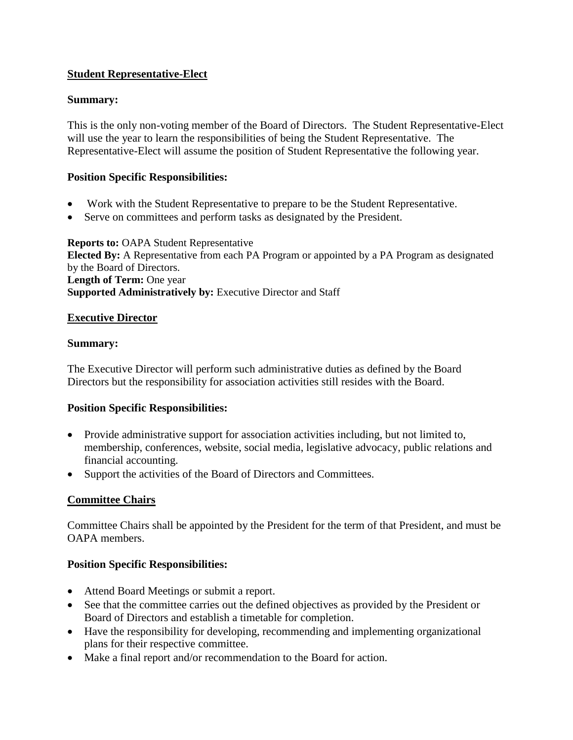# **Student Representative-Elect**

## **Summary:**

This is the only non-voting member of the Board of Directors. The Student Representative-Elect will use the year to learn the responsibilities of being the Student Representative. The Representative-Elect will assume the position of Student Representative the following year.

## **Position Specific Responsibilities:**

- Work with the Student Representative to prepare to be the Student Representative.
- Serve on committees and perform tasks as designated by the President.

**Reports to:** OAPA Student Representative **Elected By:** A Representative from each PA Program or appointed by a PA Program as designated by the Board of Directors. **Length of Term:** One year **Supported Administratively by: Executive Director and Staff** 

## **Executive Director**

## **Summary:**

The Executive Director will perform such administrative duties as defined by the Board Directors but the responsibility for association activities still resides with the Board.

## **Position Specific Responsibilities:**

- Provide administrative support for association activities including, but not limited to, membership, conferences, website, social media, legislative advocacy, public relations and financial accounting.
- Support the activities of the Board of Directors and Committees.

## **Committee Chairs**

Committee Chairs shall be appointed by the President for the term of that President, and must be OAPA members.

## **Position Specific Responsibilities:**

- Attend Board Meetings or submit a report.
- See that the committee carries out the defined objectives as provided by the President or Board of Directors and establish a timetable for completion.
- Have the responsibility for developing, recommending and implementing organizational plans for their respective committee.
- Make a final report and/or recommendation to the Board for action.